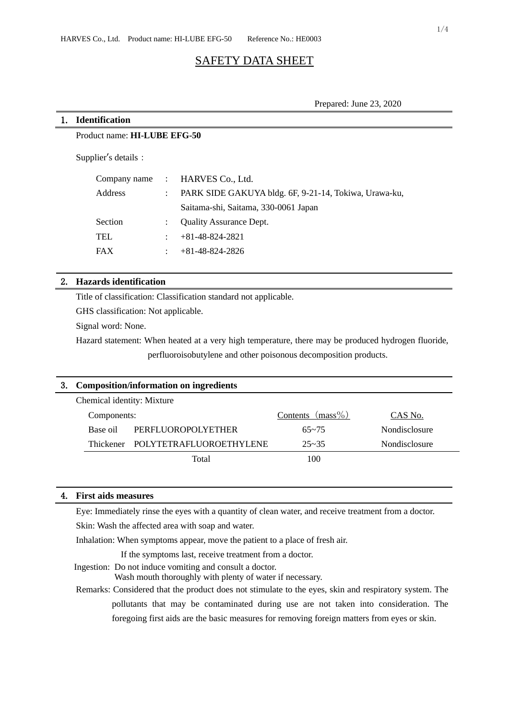# SAFETY DATA SHEET

Prepared: June 23, 2020

#### 1. **Identification**

Product name: **HI-LUBE EFG-50**

Supplier's details:

|         |              | Company name : HARVES Co., Ltd.                       |
|---------|--------------|-------------------------------------------------------|
| Address |              | PARK SIDE GAKUYA bldg. 6F, 9-21-14, Tokiwa, Urawa-ku, |
|         |              | Saitama-shi, Saitama, 330-0061 Japan                  |
| Section | $\mathbb{R}$ | <b>Quality Assurance Dept.</b>                        |
| TEL     |              | $+81-48-824-2821$                                     |
| FAX     |              | $+81-48-824-2826$                                     |
|         |              |                                                       |

# 2. **Hazards identification**

Title of classification: Classification standard not applicable.

GHS classification: Not applicable.

Signal word: None.

Hazard statement: When heated at a very high temperature, there may be produced hydrogen fluoride, perfluoroisobutylene and other poisonous decomposition products.

| 3. Composition/information on ingredients |                                   |                     |                      |  |  |  |
|-------------------------------------------|-----------------------------------|---------------------|----------------------|--|--|--|
| Chemical identity: Mixture                |                                   |                     |                      |  |  |  |
| Components:                               |                                   | Contents $(mass\%)$ | CAS No.              |  |  |  |
| Base oil                                  | PERFLUOROPOLYETHER                | $65 - 75$           | <b>Nondisclosure</b> |  |  |  |
|                                           | Thickener POLYTETRAFLUOROETHYLENE | $25 - 35$           | Nondisclosure        |  |  |  |
|                                           | Total                             | 100                 |                      |  |  |  |
|                                           |                                   |                     |                      |  |  |  |

## 4. **First aids measures**

Eye: Immediately rinse the eyes with a quantity of clean water, and receive treatment from a doctor.

Skin: Wash the affected area with soap and water.

Inhalation: When symptoms appear, move the patient to a place of fresh air.

If the symptoms last, receive treatment from a doctor.

Ingestion: Do not induce vomiting and consult a doctor.

Wash mouth thoroughly with plenty of water if necessary.

Remarks: Considered that the product does not stimulate to the eyes, skin and respiratory system. The pollutants that may be contaminated during use are not taken into consideration. The foregoing first aids are the basic measures for removing foreign matters from eyes or skin.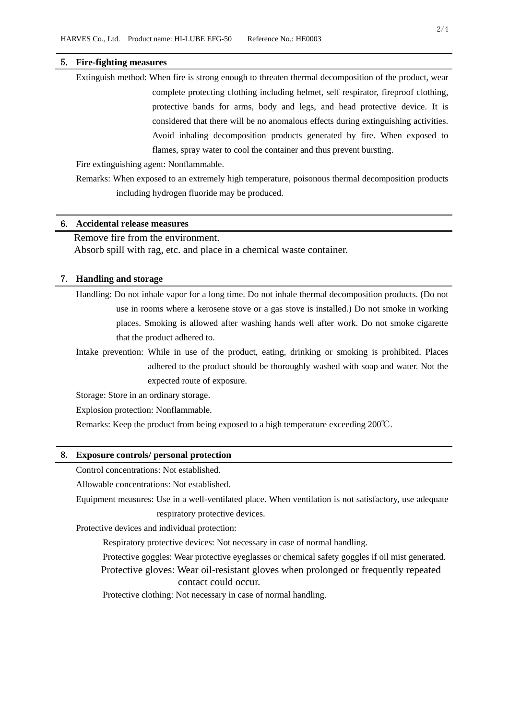### 5. **Fire-fighting measures**

Extinguish method: When fire is strong enough to threaten thermal decomposition of the product, wear complete protecting clothing including helmet, self respirator, fireproof clothing, protective bands for arms, body and legs, and head protective device. It is considered that there will be no anomalous effects during extinguishing activities. Avoid inhaling decomposition products generated by fire. When exposed to flames, spray water to cool the container and thus prevent bursting.

Fire extinguishing agent: Nonflammable.

Remarks: When exposed to an extremely high temperature, poisonous thermal decomposition products including hydrogen fluoride may be produced.

# 6. **Accidental release measures**

# Remove fire from the environment.

Absorb spill with rag, etc. and place in a chemical waste container.

### 7. **Handling and storage**

Handling: Do not inhale vapor for a long time. Do not inhale thermal decomposition products. (Do not use in rooms where a kerosene stove or a gas stove is installed.) Do not smoke in working places. Smoking is allowed after washing hands well after work. Do not smoke cigarette that the product adhered to.

Intake prevention: While in use of the product, eating, drinking or smoking is prohibited. Places adhered to the product should be thoroughly washed with soap and water. Not the expected route of exposure.

Storage: Store in an ordinary storage.

Explosion protection: Nonflammable.

Remarks: Keep the product from being exposed to a high temperature exceeding 200℃.

#### 8. **Exposure controls/ personal protection**

Control concentrations: Not established.

Allowable concentrations: Not established.

Equipment measures: Use in a well-ventilated place. When ventilation is not satisfactory, use adequate respiratory protective devices.

Protective devices and individual protection:

Respiratory protective devices: Not necessary in case of normal handling.

Protective goggles: Wear protective eyeglasses or chemical safety goggles if oil mist generated. Protective gloves: Wear oil-resistant gloves when prolonged or frequently repeated

#### contact could occur.

Protective clothing: Not necessary in case of normal handling.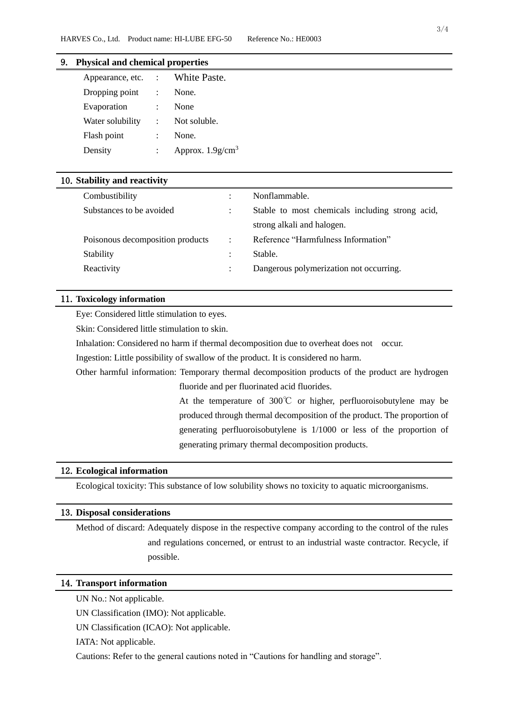# 9. **Physical and chemical properties**

| Appearance, etc. | $\mathcal{L}$             | White Paste.                    |
|------------------|---------------------------|---------------------------------|
| Dropping point   |                           | None.                           |
| Evaporation      |                           | None                            |
| Water solubility | $\mathbb{R}^{\mathbb{Z}}$ | Not soluble.                    |
| Flash point      |                           | None.                           |
| Density          |                           | Approx. $1.9$ g/cm <sup>3</sup> |

### 10.**Stability and reactivity**

| Combustibility                   |                | Nonflammable.                                   |
|----------------------------------|----------------|-------------------------------------------------|
| Substances to be avoided         | $\bullet$      | Stable to most chemicals including strong acid, |
|                                  |                | strong alkali and halogen.                      |
| Poisonous decomposition products | $\mathbb{R}^2$ | Reference "Harmfulness Information"             |
| Stability                        |                | Stable.                                         |
| Reactivity                       |                | Dangerous polymerization not occurring.         |
|                                  |                |                                                 |

## 11.**Toxicology information**

Eye: Considered little stimulation to eyes.

Skin: Considered little stimulation to skin.

Inhalation: Considered no harm if thermal decomposition due to overheat does not occur.

Ingestion: Little possibility of swallow of the product. It is considered no harm.

Other harmful information: Temporary thermal decomposition products of the product are hydrogen fluoride and per fluorinated acid fluorides.

> At the temperature of 300℃ or higher, perfluoroisobutylene may be produced through thermal decomposition of the product. The proportion of generating perfluoroisobutylene is 1/1000 or less of the proportion of generating primary thermal decomposition products.

### 12.**Ecological information**

Ecological toxicity: This substance of low solubility shows no toxicity to aquatic microorganisms.

### 13.**Disposal considerations**

Method of discard: Adequately dispose in the respective company according to the control of the rules and regulations concerned, or entrust to an industrial waste contractor. Recycle, if possible.

#### 14.**Transport information**

UN No.: Not applicable.

UN Classification (IMO): Not applicable.

UN Classification (ICAO): Not applicable.

IATA: Not applicable.

Cautions: Refer to the general cautions noted in "Cautions for handling and storage".